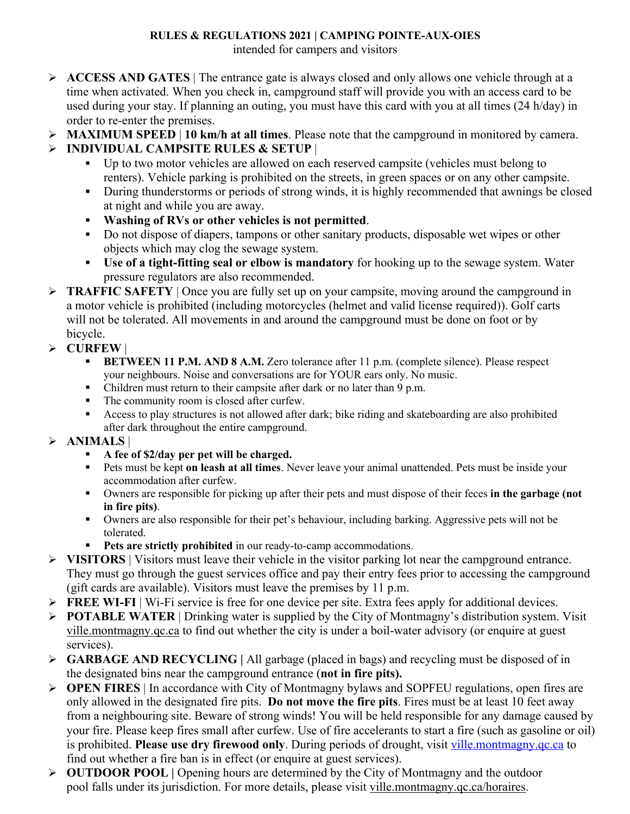## **RULES & REGULATIONS 2021 | CAMPING POINTE-AUX-OIES**

intended for campers and visitors

- Ø **ACCESS AND GATES** | The entrance gate is always closed and only allows one vehicle through at a time when activated. When you check in, campground staff will provide you with an access card to be used during your stay. If planning an outing, you must have this card with you at all times (24 h/day) in order to re-enter the premises.
- Ø **MAXIMUM SPEED** | **10 km/h at all times**. Please note that the campground in monitored by camera.

## Ø **INDIVIDUAL CAMPSITE RULES & SETUP** |

- § Up to two motor vehicles are allowed on each reserved campsite (vehicles must belong to renters). Vehicle parking is prohibited on the streets, in green spaces or on any other campsite.
- During thunderstorms or periods of strong winds, it is highly recommended that awnings be closed at night and while you are away.
- § **Washing of RVs or other vehicles is not permitted**.
- Do not dispose of diapers, tampons or other sanitary products, disposable wet wipes or other objects which may clog the sewage system.
- § **Use of a tight-fitting seal or elbow is mandatory** for hooking up to the sewage system. Water pressure regulators are also recommended.
- Ø **TRAFFIC SAFETY** | Once you are fully set up on your campsite, moving around the campground in a motor vehicle is prohibited (including motorcycles (helmet and valid license required)). Golf carts will not be tolerated. All movements in and around the campground must be done on foot or by bicycle.
- Ø **CURFEW** |
	- **BETWEEN 11 P.M. AND 8 A.M.** Zero tolerance after 11 p.m. (complete silence). Please respect your neighbours. Noise and conversations are for YOUR ears only. No music.
	- Children must return to their campsite after dark or no later than 9 p.m.
	- The community room is closed after curfew.
	- § Access to play structures is not allowed after dark; bike riding and skateboarding are also prohibited after dark throughout the entire campground.
- Ø **ANIMALS** |
	- § **A fee of \$2/day per pet will be charged.**
	- Pets must be kept on leash at all times. Never leave your animal unattended. Pets must be inside your accommodation after curfew.
	- § Owners are responsible for picking up after their pets and must dispose of their feces **in the garbage (not in fire pits)**.
	- Owners are also responsible for their pet's behaviour, including barking. Aggressive pets will not be tolerated.
	- **Pets are strictly prohibited** in our ready-to-camp accommodations.
- Ø **VISITORS** | Visitors must leave their vehicle in the visitor parking lot near the campground entrance. They must go through the guest services office and pay their entry fees prior to accessing the campground (gift cards are available). Visitors must leave the premises by 11 p.m.
- Ø **FREE WI-FI** | Wi-Fi service is free for one device per site. Extra fees apply for additional devices.
- Ø **POTABLE WATER** | Drinking water is supplied by the City of Montmagny's distribution system. Visit ville.montmagny.qc.ca to find out whether the city is under a boil-water advisory (or enquire at guest services).
- Ø **GARBAGE AND RECYCLING |** All garbage (placed in bags) and recycling must be disposed of in the designated bins near the campground entrance (**not in fire pits).**
- Ø **OPEN FIRES** | In accordance with City of Montmagny bylaws and SOPFEU regulations, open fires are only allowed in the designated fire pits. **Do not move the fire pits**. Fires must be at least 10 feet away from a neighbouring site. Beware of strong winds! You will be held responsible for any damage caused by your fire. Please keep fires small after curfew. Use of fire accelerants to start a fire (such as gasoline or oil) is prohibited. **Please use dry firewood only**. During periods of drought, visit ville.montmagny.qc.ca to find out whether a fire ban is in effect (or enquire at guest services).
- Ø **OUTDOOR POOL |** Opening hours are determined by the City of Montmagny and the outdoor pool falls under its jurisdiction. For more details, please visit ville.montmagny.qc.ca/horaires.